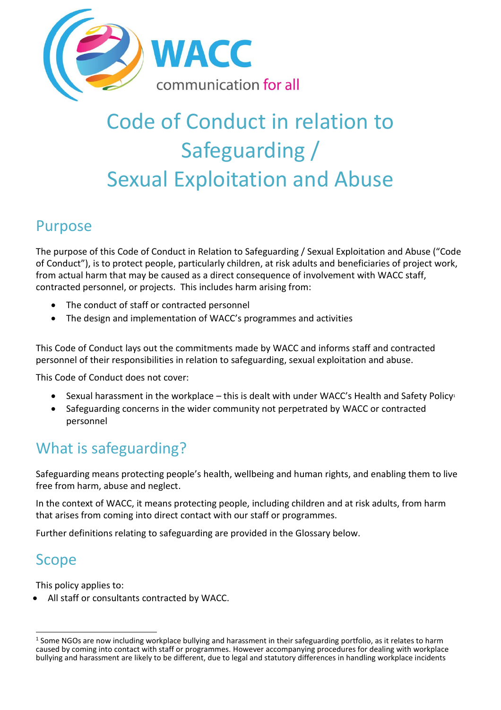

# Code of Conduct in relation to Safeguarding / Sexual Exploitation and Abuse

# Purpose

The purpose of this Code of Conduct in Relation to Safeguarding / Sexual Exploitation and Abuse ("Code of Conduct"), is to protect people, particularly children, at risk adults and beneficiaries of project work, from actual harm that may be caused as a direct consequence of involvement with WACC staff, contracted personnel, or projects. This includes harm arising from:

- The conduct of staff or contracted personnel
- The design and implementation of WACC's programmes and activities

This Code of Conduct lays out the commitments made by WACC and informs staff and contracted personnel of their responsibilities in relation to safeguarding, sexual exploitation and abuse.

This Code of Conduct does not cover:

- Sexual harassment in the workplace this is dealt with under WACC's Health and Safety Policy<sup>1</sup>
- Safeguarding concerns in the wider community not perpetrated by WACC or contracted personnel

# What is safeguarding?

Safeguarding means protecting people's health, wellbeing and human rights, and enabling them to live free from harm, abuse and neglect.

In the context of WACC, it means protecting people, including children and at risk adults, from harm that arises from coming into direct contact with our staff or programmes.

Further definitions relating to safeguarding are provided in the Glossary below.

# Scope

This policy applies to:

All staff or consultants contracted by WACC.

 $\overline{a}$  $^1$  Some NGOs are now including workplace bullying and harassment in their safeguarding portfolio, as it relates to harm caused by coming into contact with staff or programmes. However accompanying procedures for dealing with workplace bullying and harassment are likely to be different, due to legal and statutory differences in handling workplace incidents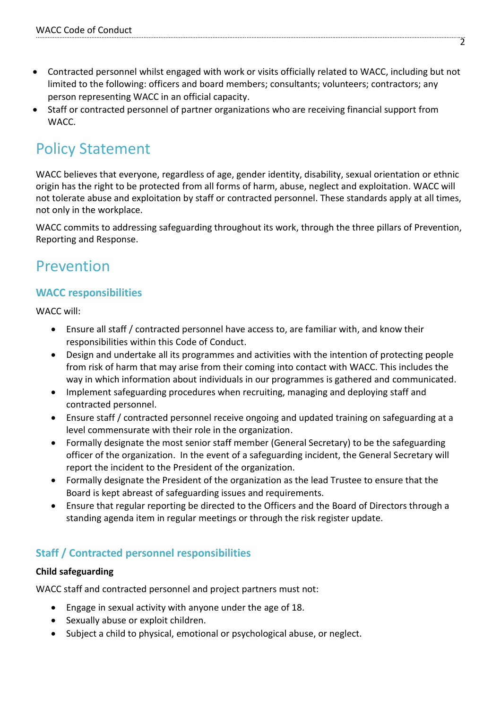- Contracted personnel whilst engaged with work or visits officially related to WACC, including but not limited to the following: officers and board members; consultants; volunteers; contractors; any person representing WACC in an official capacity.
- Staff or contracted personnel of partner organizations who are receiving financial support from WACC.

# Policy Statement

WACC believes that everyone, regardless of age, gender identity, disability, sexual orientation or ethnic origin has the right to be protected from all forms of harm, abuse, neglect and exploitation. WACC will not tolerate abuse and exploitation by staff or contracted personnel. These standards apply at all times, not only in the workplace.

WACC commits to addressing safeguarding throughout its work, through the three pillars of Prevention, Reporting and Response.

# Prevention

#### **WACC responsibilities**

WACC will:

- Ensure all staff / contracted personnel have access to, are familiar with, and know their responsibilities within this Code of Conduct.
- Design and undertake all its programmes and activities with the intention of protecting people from risk of harm that may arise from their coming into contact with WACC. This includes the way in which information about individuals in our programmes is gathered and communicated.
- Implement safeguarding procedures when recruiting, managing and deploying staff and contracted personnel.
- Ensure staff / contracted personnel receive ongoing and updated training on safeguarding at a level commensurate with their role in the organization.
- Formally designate the most senior staff member (General Secretary) to be the safeguarding officer of the organization. In the event of a safeguarding incident, the General Secretary will report the incident to the President of the organization.
- Formally designate the President of the organization as the lead Trustee to ensure that the Board is kept abreast of safeguarding issues and requirements.
- Ensure that regular reporting be directed to the Officers and the Board of Directors through a standing agenda item in regular meetings or through the risk register update.

#### **Staff / Contracted personnel responsibilities**

#### **Child safeguarding**

WACC staff and contracted personnel and project partners must not:

- Engage in sexual activity with anyone under the age of 18.
- Sexually abuse or exploit children.
- Subject a child to physical, emotional or psychological abuse, or neglect.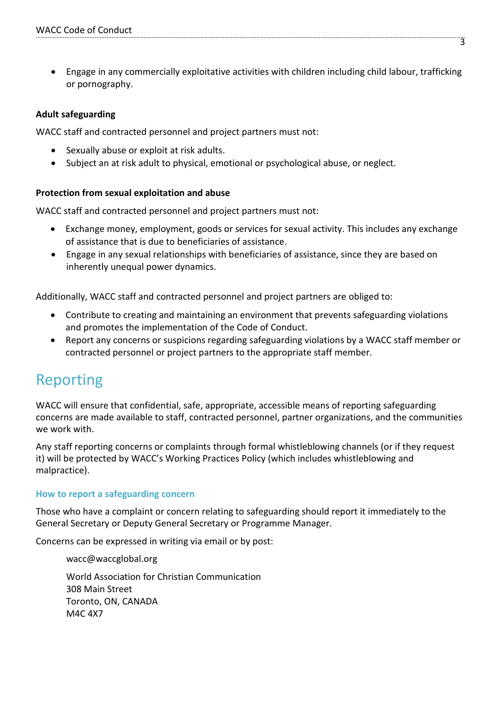Engage in any commercially exploitative activities with children including child labour, trafficking or pornography.

#### **Adult safeguarding**

WACC staff and contracted personnel and project partners must not:

- Sexually abuse or exploit at risk adults.
- Subject an at risk adult to physical, emotional or psychological abuse, or neglect.

#### **Protection from sexual exploitation and abuse**

WACC staff and contracted personnel and project partners must not:

- Exchange money, employment, goods or services for sexual activity. This includes any exchange of assistance that is due to beneficiaries of assistance.
- Engage in any sexual relationships with beneficiaries of assistance, since they are based on inherently unequal power dynamics.

Additionally, WACC staff and contracted personnel and project partners are obliged to:

- Contribute to creating and maintaining an environment that prevents safeguarding violations and promotes the implementation of the Code of Conduct.
- Report any concerns or suspicions regarding safeguarding violations by a WACC staff member or contracted personnel or project partners to the appropriate staff member.

# Reporting

WACC will ensure that confidential, safe, appropriate, accessible means of reporting safeguarding concerns are made available to staff, contracted personnel, partner organizations, and the communities we work with.

Any staff reporting concerns or complaints through formal whistleblowing channels (or if they request it) will be protected by WACC's Working Practices Policy (which includes whistleblowing and malpractice).

#### **How to report a safeguarding concern**

Those who have a complaint or concern relating to safeguarding should report it immediately to the General Secretary or Deputy General Secretary or Programme Manager.

Concerns can be expressed in writing via email or by post:

[wacc@waccglobal.org](mailto:wacc@waccglobal.org)

World Association for Christian Communication 308 Main Street Toronto, ON, CANADA M4C 4X7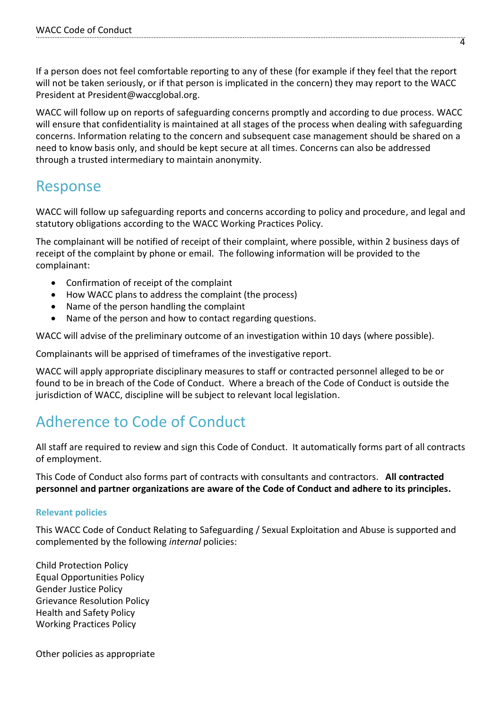If a person does not feel comfortable reporting to any of these (for example if they feel that the report will not be taken seriously, or if that person is implicated in the concern) they may report to the WACC President at President@waccglobal.org.

WACC will follow up on reports of safeguarding concerns promptly and according to due process. WACC will ensure that confidentiality is maintained at all stages of the process when dealing with safeguarding concerns. Information relating to the concern and subsequent case management should be shared on a need to know basis only, and should be kept secure at all times. Concerns can also be addressed through a trusted intermediary to maintain anonymity.

# Response

WACC will follow up safeguarding reports and concerns according to policy and procedure, and legal and statutory obligations according to the WACC Working Practices Policy.

The complainant will be notified of receipt of their complaint, where possible, within 2 business days of receipt of the complaint by phone or email. The following information will be provided to the complainant:

- Confirmation of receipt of the complaint
- How WACC plans to address the complaint (the process)
- Name of the person handling the complaint
- Name of the person and how to contact regarding questions.

WACC will advise of the preliminary outcome of an investigation within 10 days (where possible).

Complainants will be apprised of timeframes of the investigative report.

WACC will apply appropriate disciplinary measures to staff or contracted personnel alleged to be or found to be in breach of the Code of Conduct. Where a breach of the Code of Conduct is outside the jurisdiction of WACC, discipline will be subject to relevant local legislation.

# Adherence to Code of Conduct

All staff are required to review and sign this Code of Conduct. It automatically forms part of all contracts of employment.

This Code of Conduct also forms part of contracts with consultants and contractors. **All contracted personnel and partner organizations are aware of the Code of Conduct and adhere to its principles.**

#### **Relevant policies**

This WACC Code of Conduct Relating to Safeguarding / Sexual Exploitation and Abuse is supported and complemented by the following *internal* policies:

Child Protection Policy Equal Opportunities Policy Gender Justice Policy Grievance Resolution Policy Health and Safety Policy Working Practices Policy

Other policies as appropriate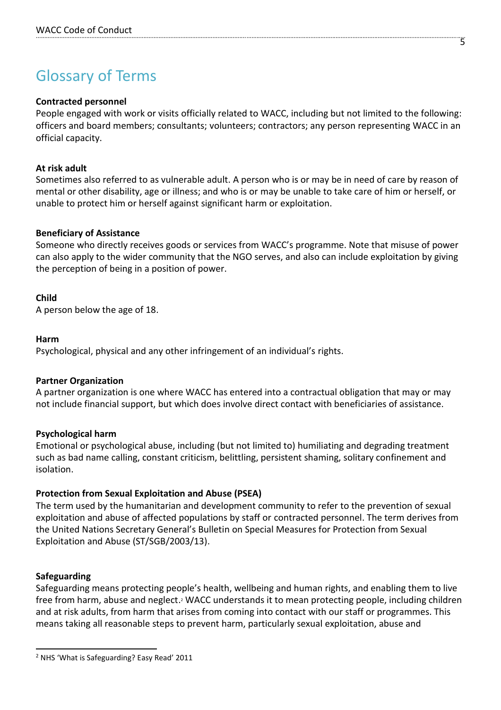# Glossary of Terms

#### **Contracted personnel**

People engaged with work or visits officially related to WACC, including but not limited to the following: officers and board members; consultants; volunteers; contractors; any person representing WACC in an official capacity.

#### **At risk adult**

Sometimes also referred to as vulnerable adult. A person who is or may be in need of care by reason of mental or other disability, age or illness; and who is or may be unable to take care of him or herself, or unable to protect him or herself against significant harm or exploitation.

#### **Beneficiary of Assistance**

Someone who directly receives goods or services from WACC's programme. Note that misuse of power can also apply to the wider community that the NGO serves, and also can include exploitation by giving the perception of being in a position of power.

#### **Child**

A person below the age of 18.

#### **Harm**

Psychological, physical and any other infringement of an individual's rights.

#### **Partner Organization**

A partner organization is one where WACC has entered into a contractual obligation that may or may not include financial support, but which does involve direct contact with beneficiaries of assistance.

#### **Psychological harm**

Emotional or psychological abuse, including (but not limited to) humiliating and degrading treatment such as bad name calling, constant criticism, belittling, persistent shaming, solitary confinement and isolation.

#### **Protection from Sexual Exploitation and Abuse (PSEA)**

The term used by the humanitarian and development community to refer to the prevention of sexual exploitation and abuse of affected populations by staff or contracted personnel. The term derives from the United Nations Secretary General's Bulletin on Special Measures for Protection from Sexual Exploitation and Abuse (ST/SGB/2003/13).

#### **Safeguarding**

Safeguarding means protecting people's health, wellbeing and human rights, and enabling them to live free from harm, abuse and neglect.<sup>2</sup> WACC understands it to mean protecting people, including children and at risk adults, from harm that arises from coming into contact with our staff or programmes. This means taking all reasonable steps to prevent harm, particularly sexual exploitation, abuse and

5

 $\overline{a}$ <sup>2</sup> NHS 'What is Safeguarding? Easy Read' 2011